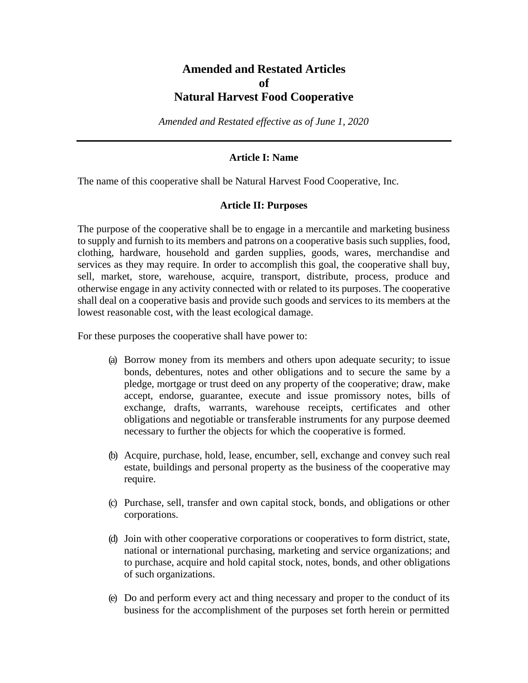# **Amended and Restated Articles of Natural Harvest Food Cooperative**

*Amended and Restated effective as of June 1, 2020*

## **Article I: Name**

The name of this cooperative shall be Natural Harvest Food Cooperative, Inc.

#### **Article II: Purposes**

The purpose of the cooperative shall be to engage in a mercantile and marketing business to supply and furnish to its members and patrons on a cooperative basis such supplies, food, clothing, hardware, household and garden supplies, goods, wares, merchandise and services as they may require. In order to accomplish this goal, the cooperative shall buy, sell, market, store, warehouse, acquire, transport, distribute, process, produce and otherwise engage in any activity connected with or related to its purposes. The cooperative shall deal on a cooperative basis and provide such goods and services to its members at the lowest reasonable cost, with the least ecological damage.

For these purposes the cooperative shall have power to:

- (a) Borrow money from its members and others upon adequate security; to issue bonds, debentures, notes and other obligations and to secure the same by a pledge, mortgage or trust deed on any property of the cooperative; draw, make accept, endorse, guarantee, execute and issue promissory notes, bills of exchange, drafts, warrants, warehouse receipts, certificates and other obligations and negotiable or transferable instruments for any purpose deemed necessary to further the objects for which the cooperative is formed.
- (b) Acquire, purchase, hold, lease, encumber, sell, exchange and convey such real estate, buildings and personal property as the business of the cooperative may require.
- (c) Purchase, sell, transfer and own capital stock, bonds, and obligations or other corporations.
- (d) Join with other cooperative corporations or cooperatives to form district, state, national or international purchasing, marketing and service organizations; and to purchase, acquire and hold capital stock, notes, bonds, and other obligations of such organizations.
- (e) Do and perform every act and thing necessary and proper to the conduct of its business for the accomplishment of the purposes set forth herein or permitted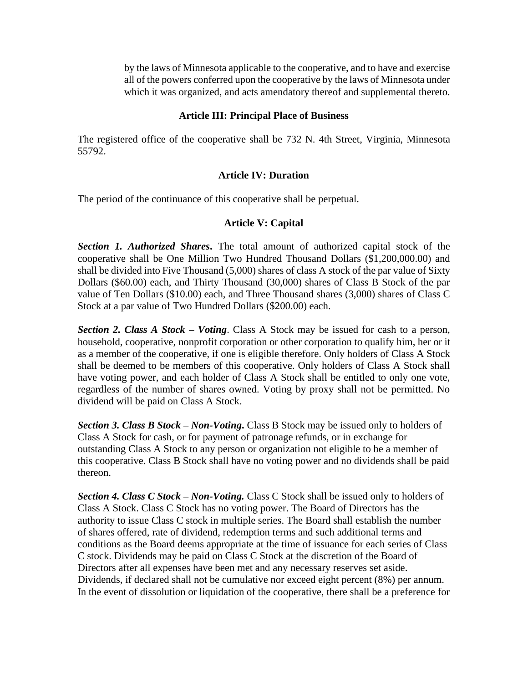by the laws of Minnesota applicable to the cooperative, and to have and exercise all of the powers conferred upon the cooperative by the laws of Minnesota under which it was organized, and acts amendatory thereof and supplemental thereto.

## **Article III: Principal Place of Business**

The registered office of the cooperative shall be 732 N. 4th Street, Virginia, Minnesota 55792.

## **Article IV: Duration**

The period of the continuance of this cooperative shall be perpetual.

## **Article V: Capital**

*Section 1. Authorized Shares***.** The total amount of authorized capital stock of the cooperative shall be One Million Two Hundred Thousand Dollars (\$1,200,000.00) and shall be divided into Five Thousand (5,000) shares of class A stock of the par value of Sixty Dollars (\$60.00) each, and Thirty Thousand (30,000) shares of Class B Stock of the par value of Ten Dollars (\$10.00) each, and Three Thousand shares (3,000) shares of Class C Stock at a par value of Two Hundred Dollars (\$200.00) each.

*Section 2. Class A Stock – Voting*. Class A Stock may be issued for cash to a person, household, cooperative, nonprofit corporation or other corporation to qualify him, her or it as a member of the cooperative, if one is eligible therefore. Only holders of Class A Stock shall be deemed to be members of this cooperative. Only holders of Class A Stock shall have voting power, and each holder of Class A Stock shall be entitled to only one vote, regardless of the number of shares owned. Voting by proxy shall not be permitted. No dividend will be paid on Class A Stock.

*Section 3. Class B Stock – Non-Voting***.** Class B Stock may be issued only to holders of Class A Stock for cash, or for payment of patronage refunds, or in exchange for outstanding Class A Stock to any person or organization not eligible to be a member of this cooperative. Class B Stock shall have no voting power and no dividends shall be paid thereon.

*Section 4. Class C Stock – Non-Voting.* Class C Stock shall be issued only to holders of Class A Stock. Class C Stock has no voting power. The Board of Directors has the authority to issue Class C stock in multiple series. The Board shall establish the number of shares offered, rate of dividend, redemption terms and such additional terms and conditions as the Board deems appropriate at the time of issuance for each series of Class C stock. Dividends may be paid on Class C Stock at the discretion of the Board of Directors after all expenses have been met and any necessary reserves set aside. Dividends, if declared shall not be cumulative nor exceed eight percent (8%) per annum. In the event of dissolution or liquidation of the cooperative, there shall be a preference for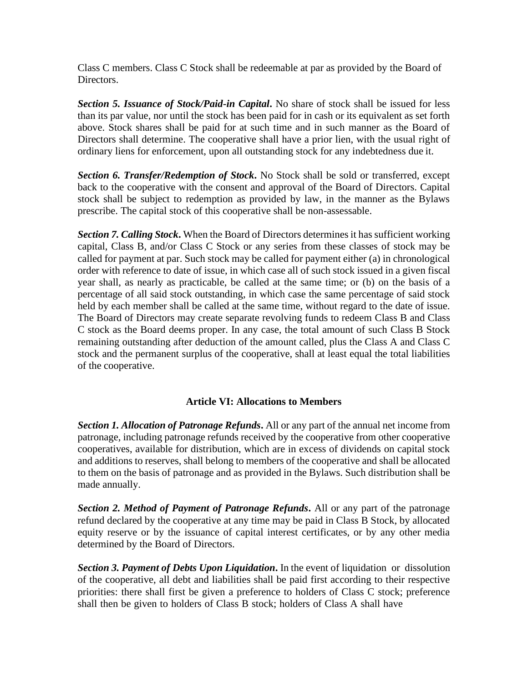Class C members. Class C Stock shall be redeemable at par as provided by the Board of Directors.

*Section 5. Issuance of Stock/Paid-in Capital***.** No share of stock shall be issued for less than its par value, nor until the stock has been paid for in cash or its equivalent as set forth above. Stock shares shall be paid for at such time and in such manner as the Board of Directors shall determine. The cooperative shall have a prior lien, with the usual right of ordinary liens for enforcement, upon all outstanding stock for any indebtedness due it.

*Section 6. Transfer/Redemption of Stock***.** No Stock shall be sold or transferred, except back to the cooperative with the consent and approval of the Board of Directors. Capital stock shall be subject to redemption as provided by law, in the manner as the Bylaws prescribe. The capital stock of this cooperative shall be non-assessable.

*Section 7. Calling Stock***.** When the Board of Directors determines it has sufficient working capital, Class B, and/or Class C Stock or any series from these classes of stock may be called for payment at par. Such stock may be called for payment either (a) in chronological order with reference to date of issue, in which case all of such stock issued in a given fiscal year shall, as nearly as practicable, be called at the same time; or (b) on the basis of a percentage of all said stock outstanding, in which case the same percentage of said stock held by each member shall be called at the same time, without regard to the date of issue. The Board of Directors may create separate revolving funds to redeem Class B and Class C stock as the Board deems proper. In any case, the total amount of such Class B Stock remaining outstanding after deduction of the amount called, plus the Class A and Class C stock and the permanent surplus of the cooperative, shall at least equal the total liabilities of the cooperative.

## **Article VI: Allocations to Members**

*Section 1. Allocation of Patronage Refunds***.** All or any part of the annual net income from patronage, including patronage refunds received by the cooperative from other cooperative cooperatives, available for distribution, which are in excess of dividends on capital stock and additions to reserves, shall belong to members of the cooperative and shall be allocated to them on the basis of patronage and as provided in the Bylaws. Such distribution shall be made annually.

*Section 2. Method of Payment of Patronage Refunds***.** All or any part of the patronage refund declared by the cooperative at any time may be paid in Class B Stock, by allocated equity reserve or by the issuance of capital interest certificates, or by any other media determined by the Board of Directors.

*Section 3. Payment of Debts Upon Liquidation***.** In the event of liquidation or dissolution of the cooperative, all debt and liabilities shall be paid first according to their respective priorities: there shall first be given a preference to holders of Class C stock; preference shall then be given to holders of Class B stock; holders of Class A shall have